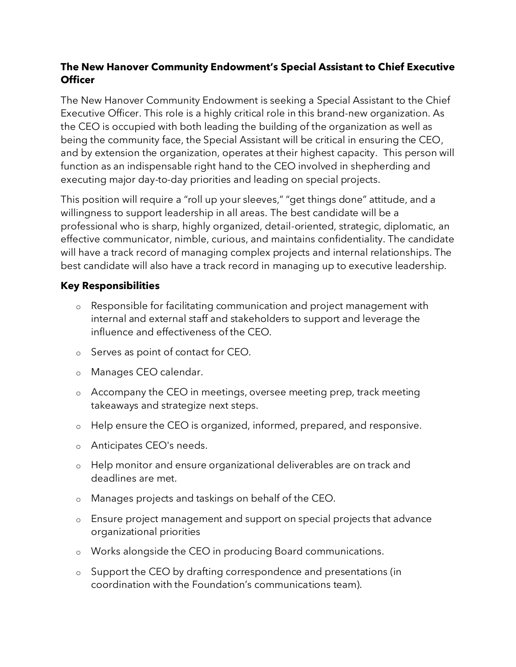## **The New Hanover Community Endowment's Special Assistant to Chief Executive Officer**

The New Hanover Community Endowment is seeking a Special Assistant to the Chief Executive Officer. This role is a highly critical role in this brand-new organization. As the CEO is occupied with both leading the building of the organization as well as being the community face, the Special Assistant will be critical in ensuring the CEO, and by extension the organization, operates at their highest capacity. This person will function as an indispensable right hand to the CEO involved in shepherding and executing major day-to-day priorities and leading on special projects.

This position will require a "roll up your sleeves," "get things done" attitude, and a willingness to support leadership in all areas. The best candidate will be a professional who is sharp, highly organized, detail-oriented, strategic, diplomatic, an effective communicator, nimble, curious, and maintains confidentiality. The candidate will have a track record of managing complex projects and internal relationships. The best candidate will also have a track record in managing up to executive leadership.

## **Key Responsibilities**

- o Responsible for facilitating communication and project management with internal and external staff and stakeholders to support and leverage the influence and effectiveness of the CEO.
- o Serves as point of contact for CEO.
- o Manages CEO calendar.
- o Accompany the CEO in meetings, oversee meeting prep, track meeting takeaways and strategize next steps.
- o Help ensure the CEO is organized, informed, prepared, and responsive.
- o Anticipates CEO's needs.
- o Help monitor and ensure organizational deliverables are on track and deadlines are met.
- o Manages projects and taskings on behalf of the CEO.
- o Ensure project management and support on special projects that advance organizational priorities
- o Works alongside the CEO in producing Board communications.
- o Support the CEO by drafting correspondence and presentations (in coordination with the Foundation's communications team).